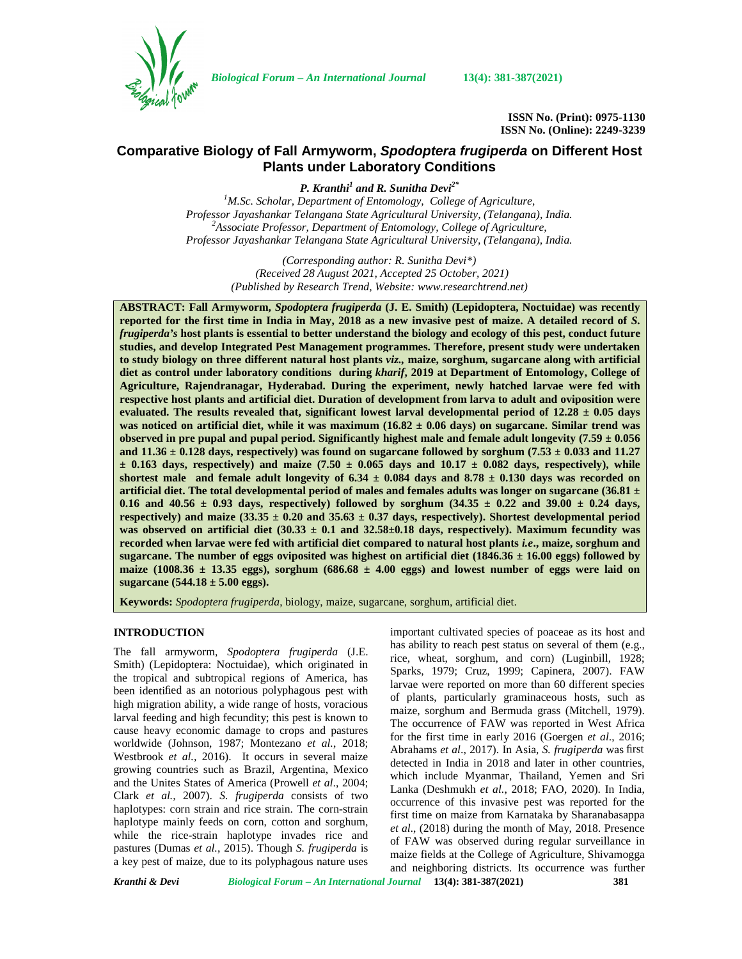

*Biological Forum – An International Journal* **13(4): 381-387(2021)**

**ISSN No. (Print): 0975-1130 ISSN No. (Online): 2249-3239**

# **Comparative Biology of Fall Armyworm,** *Spodoptera frugiperda* **on Different Host Plants under Laboratory Conditions**

*P. Kranthi<sup>1</sup> and R. Sunitha Devi2\**

*<sup>1</sup>M.Sc. Scholar, Department of Entomology, College of Agriculture, Professor Jayashankar Telangana State Agricultural University, (Telangana), India. <sup>2</sup>Associate Professor, Department of Entomology, College of Agriculture, Professor Jayashankar Telangana State Agricultural University, (Telangana), India.*

> *(Corresponding author: R. Sunitha Devi\*) (Received 28 August 2021, Accepted 25 October, 2021) (Published by Research Trend, Website: <www.researchtrend.net>)*

**ABSTRACT: Fall Armyworm,** *Spodoptera frugiperda* **(J. E. Smith) (Lepidoptera, Noctuidae) was recently reported for the first time in India in May, 2018 as a new invasive pest of maize. A detailed record of** *S. frugiperda's* **host plants is essential to better understand the biology and ecology of this pest, conduct future studies, and develop Integrated Pest Management programmes. Therefore, present study were undertaken to study biology on three different natural host plants** *viz.,* **maize, sorghum, sugarcane along with artificial diet as control under laboratory conditions during** *kharif***, 2019 at Department of Entomology, College of Agriculture, Rajendranagar, Hyderabad. During the experiment, newly hatched larvae were fed with respective host plants and artificial diet. Duration of development from larva to adult and oviposition were** evaluated. The results revealed that, significant lowest larval developmental period of  $12.28 \pm 0.05$  days **was noticed on artificial diet, while it was maximum (16.82 ± 0.06 days) on sugarcane. Similar trend was** observed in pre pupal and pupal period. Significantly highest male and female adult longevity  $(7.59 \pm 0.056$ and  $11.36 \pm 0.128$  days, respectively) was found on sugarcane followed by sorghum (7.53  $\pm$  0.033 and 11.27  $\pm$  0.163 days, respectively) and maize (7.50  $\pm$  0.065 days and 10.17  $\pm$  0.082 days, respectively), while shortest male and female adult longevity of  $6.34 \pm 0.084$  days and  $8.78 \pm 0.130$  days was recorded on **artificial diet. The total developmental period of males and females adults was longer on sugarcane (36.81 ±** 0.16 and  $40.56 \pm 0.93$  days, respectively) followed by sorghum  $(34.35 \pm 0.22$  and  $39.00 \pm 0.24$  days, respectively) and maize  $(33.35 \pm 0.20$  and  $35.63 \pm 0.37$  days, respectively). Shortest developmental period was observed on artificial diet  $(30.33 \pm 0.1 \text{ and } 32.58 \pm 0.18 \text{ days}$ , respectively). Maximum fecundity was **recorded when larvae were fed with artificial diet compared to natural host plants** *i.e***., maize, sorghum and sugarcane. The number of eggs oviposited was highest on artificial diet (1846.36 ± 16.00 eggs) followed by** maize (1008.36  $\pm$  13.35 eggs), sorghum (686.68  $\pm$  4.00 eggs) and lowest number of eggs were laid on **sugarcane (544.18 ± 5.00 eggs).**

**Keywords:** *Spodoptera frugiperda*, biology, maize, sugarcane, sorghum, artificial diet.

## **INTRODUCTION**

The fall armyworm, *Spodoptera frugiperda* (J.E. Smith) (Lepidoptera: Noctuidae), which originated in the tropical and subtropical regions of America, has been identified as an notorious polyphagous pest with high migration ability, a wide range of hosts, voracious larval feeding and high fecundity; this pest is known to cause heavy economic damage to crops and pastures worldwide (Johnson, 1987; Montezano *et al.*, 2018; Westbrook *et al.,* 2016). It occurs in several maize growing countries such as Brazil, Argentina, Mexico and the Unites States of America (Prowell *et al*., 2004; Clark *et al.,* 2007). *S. frugiperda* consists of two haplotypes: corn strain and rice strain. The corn-strain haplotype mainly feeds on corn, cotton and sorghum, while the rice-strain haplotype invades rice and pastures (Dumas *et al.*, 2015). Though *S. frugiperda* is a key pest of maize, due to its polyphagous nature uses

important cultivated species of poaceae as its host and has ability to reach pest status on several of them (e.g., rice, wheat, sorghum, and corn) (Luginbill, 1928; Sparks, 1979; Cruz, 1999; Capinera, 2007). FAW larvae were reported on more than 60 different species of plants, particularly graminaceous hosts, such as maize, sorghum and Bermuda grass (Mitchell, 1979). The occurrence of FAW was reported in West Africa for the first time in early 2016 (Goergen *et al*., 2016; Abrahams *et al*., 2017). In Asia, *S. frugiperda* was first detected in India in 2018 and later in other countries, which include Myanmar, Thailand, Yemen and Sri Lanka (Deshmukh *et al.*, 2018; FAO, 2020). In India, occurrence of this invasive pest was reported for the first time on maize from Karnataka by Sharanabasappa *et al*., (2018) during the month of May, 2018. Presence of FAW was observed during regular surveillance in maize fields at the College of Agriculture, Shivamogga and neighboring districts. Its occurrence was further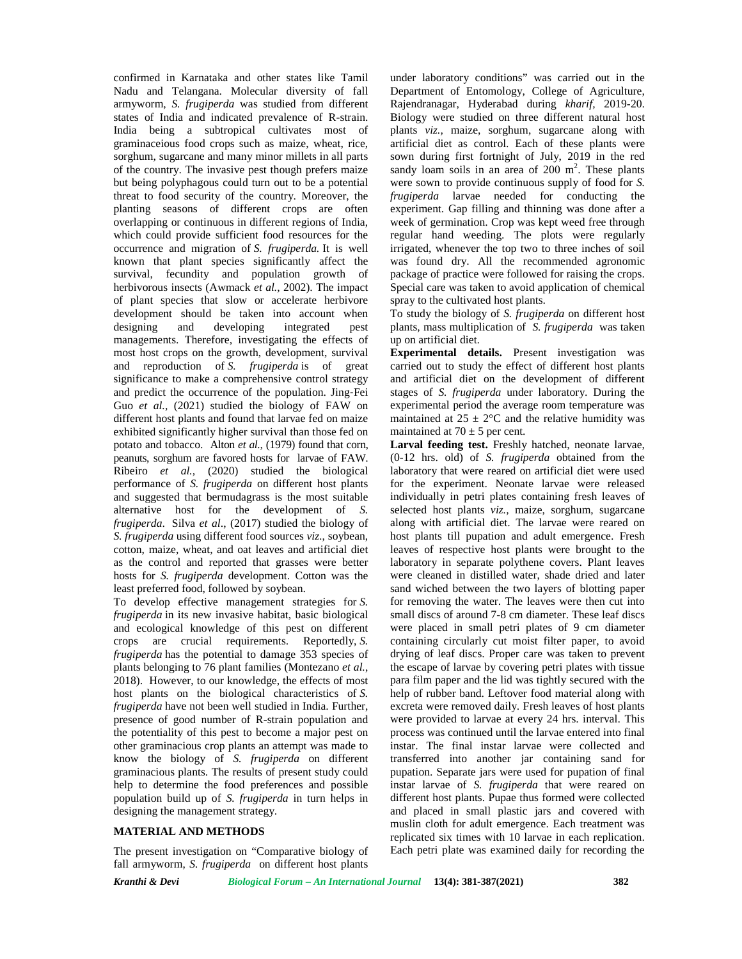confirmed in Karnataka and other states like Tamil Nadu and Telangana. Molecular diversity of fall armyworm, *S. frugiperda* was studied from different states of India and indicated prevalence of R-strain. India being a subtropical cultivates most of graminaceious food crops such as maize, wheat, rice, sorghum, sugarcane and many minor millets in all parts of the country. The invasive pest though prefers maize but being polyphagous could turn out to be a potential threat to food security of the country. Moreover, the planting seasons of different crops are often overlapping or continuous in different regions of India, which could provide sufficient food resources for the occurrence and migration of *S. frugiperda.* It is well known that plant species significantly affect the survival, fecundity and population growth of herbivorous insects (Awmack *et al.*, 2002). The impact of plant species that slow or accelerate herbivore development should be taken into account when designing and developing integrated pest managements. Therefore, investigating the effects of most host crops on the growth, development, survival and reproduction of *S. frugiperda* is of great significance to make a comprehensive control strategy and predict the occurrence of the population. Jing‐Fei Guo *et al.,* (2021) studied the biology of FAW on different host plants and found that larvae fed on maize exhibited significantly higher survival than those fed on potato and tobacco. Alton *et al.,* (1979) found that corn, peanuts, sorghum are favored hosts for larvae of FAW. Ribeiro *et al.,* (2020) studied the biological performance of *S. frugiperda* on different host plants and suggested that bermudagrass is the most suitable alternative host for the development of *S. frugiperda*. Silva *et al*., (2017) studied the biology of *S. frugiperda* using different food sources *viz*., soybean, cotton, maize, wheat, and oat leaves and artificial diet as the control and reported that grasses were better hosts for *S. frugiperda* development. Cotton was the least preferred food, followed by soybean.

To develop effective management strategies for *S. frugiperda* in its new invasive habitat, basic biological and ecological knowledge of this pest on different crops are crucial requirements. Reportedly, *S. frugiperda* has the potential to damage 353 species of plants belonging to 76 plant families (Montezano *et al.*, 2018). However, to our knowledge, the effects of most host plants on the biological characteristics of *S. frugiperda* have not been well studied in India. Further, presence of good number of R-strain population and the potentiality of this pest to become a major pest on other graminacious crop plants an attempt was made to know the biology of *S. frugiperda* on different graminacious plants. The results of present study could help to determine the food preferences and possible population build up of *S. frugiperda* in turn helps in designing the management strategy.

# **MATERIAL AND METHODS**

The present investigation on "Comparative biology of fall armyworm, *S. frugiperda* on different host plants

under laboratory conditions" was carried out in the Department of Entomology, College of Agriculture, Rajendranagar, Hyderabad during *kharif,* 2019-20. Biology were studied on three different natural host plants *viz.,* maize, sorghum, sugarcane along with artificial diet as control. Each of these plants were sown during first fortnight of July, 2019 in the red sandy loam soils in an area of  $200 \text{ m}^2$ . These plants were sown to provide continuous supply of food for *S. frugiperda* larvae needed for conducting the experiment. Gap filling and thinning was done after a week of germination. Crop was kept weed free through regular hand weeding. The plots were regularly irrigated, whenever the top two to three inches of soil was found dry. All the recommended agronomic package of practice were followed for raising the crops. Special care was taken to avoid application of chemical spray to the cultivated host plants.

To study the biology of *S. frugiperda* on different host plants, mass multiplication of *S. frugiperda* was taken up on artificial diet.

**Experimental details.** Present investigation was carried out to study the effect of different host plants and artificial diet on the development of different stages of *S. frugiperda* under laboratory. During the experimental period the average room temperature was maintained at  $25 \pm 2$ °C and the relative humidity was maintained at  $70 \pm 5$  per cent.

**Larval feeding test.** Freshly hatched, neonate larvae, (0-12 hrs. old) of *S. frugiperda* obtained from the laboratory that were reared on artificial diet were used for the experiment. Neonate larvae were released individually in petri plates containing fresh leaves of selected host plants *viz.,* maize, sorghum, sugarcane along with artificial diet. The larvae were reared on host plants till pupation and adult emergence. Fresh leaves of respective host plants were brought to the laboratory in separate polythene covers. Plant leaves were cleaned in distilled water, shade dried and later sand wiched between the two layers of blotting paper for removing the water. The leaves were then cut into small discs of around 7-8 cm diameter. These leaf discs were placed in small petri plates of 9 cm diameter containing circularly cut moist filter paper, to avoid drying of leaf discs. Proper care was taken to prevent the escape of larvae by covering petri plates with tissue para film paper and the lid was tightly secured with the help of rubber band. Leftover food material along with excreta were removed daily. Fresh leaves of host plants were provided to larvae at every 24 hrs. interval. This process was continued until the larvae entered into final instar. The final instar larvae were collected and transferred into another jar containing sand for pupation. Separate jars were used for pupation of final instar larvae of *S. frugiperda* that were reared on different host plants. Pupae thus formed were collected and placed in small plastic jars and covered with muslin cloth for adult emergence. Each treatment was replicated six times with 10 larvae in each replication. Each petri plate was examined daily for recording the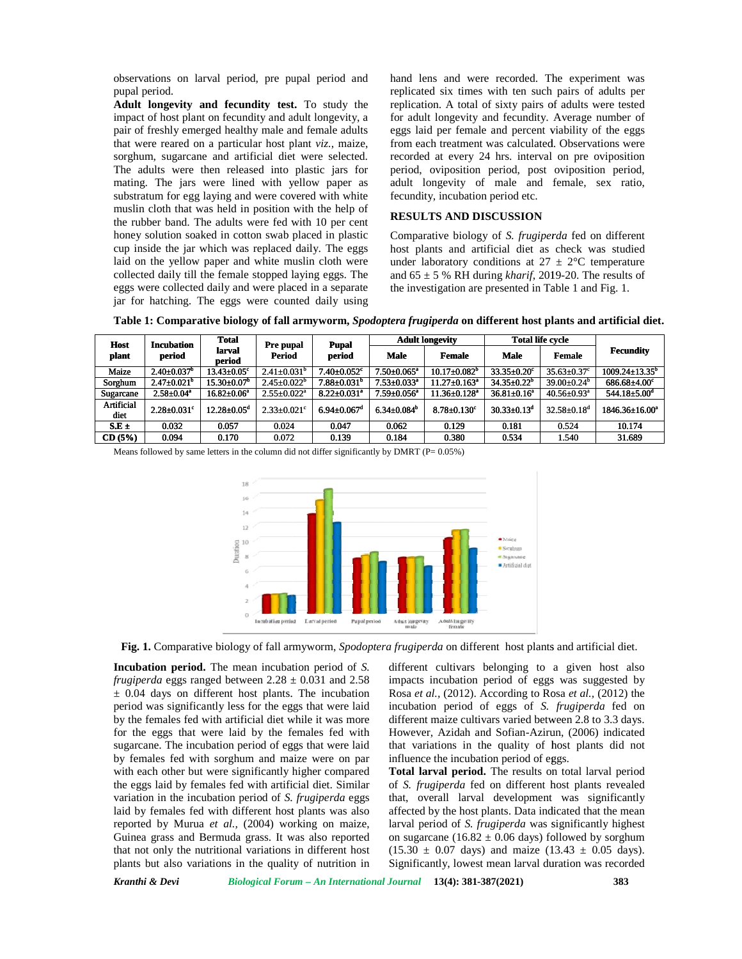observations on larval period, pre pupal period and pupal period.

**Adult longevity and fecundity test.** To study the impact of host plant on fecundity and adult longevity, a pair of freshly emerged healthy male and female adults egg that were reared on a particular host plant *viz.*, maize, sorghum, sugarcane and artificial diet were selected. The adults were then released into plastic jars for that were reared on a particular host plant *viz*, maize, from sorghum, sugarcane and artificial diet were selected. The adults were then released into plastic jars for per mating. The jars were lined with yellow paper as substratum for egg laying and were covered with white muslin cloth that was held in position with the help of the rubber band. The adults were fed with 10 per cent honey solution soaked in cotton swab placed in plastic cup inside the jar which was replaced daily. The eggs laid on the yellow paper and white muslin cloth were collected daily till the female stopped laying eggs. The laid on the yellow paper and white muslin cloth were und collected daily till the female stopped laying eggs. The and eggs were collected daily and were placed in a separate the jar for hatching. The eggs were counted daily using h that was held in position with the he<br>band. The adults were fed with 10 per<br>tion soaked in cotton swab placed in p<br>the jar which was replaced daily. The ions on larval period, pre pupal period and hand lens and were recorded. The experiment was replicated sixty in explicated sixt times with ten such pairs of adults persion on foreshly emerged healthy male and female adult observations on larval period, pre pupal period<br>pupal period.<br>**Adult longevity and fecundity test.** To stud<br>impact of host plant on fecundity and adult longer<br>pair of freshly emerged healthy male and female i<br>that were rea

hand lens and were recorded. The experiment was replicated six times with ten such pairs of adults per replication. A total of sixty pairs of adults were tested for adult longevity and fecundity. Average number of eggs laid per female and percent viability of the eggs from each treatment was calculated. Observations were recorded at every 24 hrs. interval on pre oviposition period, oviposition period, post oviposition period, adult longevity of male and female, sex ratio, fecundity, incubation period etc.

#### **RESULTS AND DISCUSSION**

Comparative biology of *S. frugiperda* fed on different host plants and artificial diet as check was studied under laboratory conditions at  $27 \pm 2$ °C temperature host plants and artificial diet as check was studied under laboratory conditions at  $27 \pm 2$ °C temperature and  $65 \pm 5$  % RH during *kharif*, 2019-20. The results of the investigation are presented in Table 1 and Fig. 1.

| <b>Host</b><br>plant                                                                               | <b>Incubation</b><br>period   | <b>Total</b><br>larval<br>period | Pre pupal<br>Period           | <b>Pupal</b><br>period        | <b>Adult longevity</b>        |                                | <b>Total life cycle</b>  |                               |                             |
|----------------------------------------------------------------------------------------------------|-------------------------------|----------------------------------|-------------------------------|-------------------------------|-------------------------------|--------------------------------|--------------------------|-------------------------------|-----------------------------|
|                                                                                                    |                               |                                  |                               |                               | Male                          | <b>Female</b>                  | <b>Male</b>              | <b>Female</b>                 | <b>Fecundity</b>            |
| Maize                                                                                              | $2.40 \pm 0.037^b$            | $13.43 \pm 0.05$ °               | $2.41 \pm 0.031^b$            | $7.40 \pm 0.052$ <sup>c</sup> | $7.50 \pm 0.065^{\text{a}}$   | $10.17 \pm 0.082^b$            | $33.35 \pm 0.20^{\circ}$ | $35.63 \pm 0.37$ °            | $1009.24 \pm 13.35^{\circ}$ |
| Sorghum                                                                                            | $2.47 \pm 0.021^{\circ}$      | $15.30 \pm 0.07^{\circ}$         | $2.45 \pm 0.022^b$            | $7.88 \pm 0.031$ <sup>b</sup> | $7.53 \pm 0.033$ <sup>a</sup> | $11.27 \pm 0.163$ <sup>a</sup> | $34.35 \pm 0.22^{\circ}$ | $39.00 \pm 0.24^{\circ}$      | $686.68 \pm 4.00^c$         |
| Sugarcane                                                                                          | $2.58 \pm 0.04^a$             | $16.82 \pm 0.06^a$               | $2.55 \pm 0.022$ <sup>a</sup> | $8.22 \pm 0.031$ <sup>a</sup> | $7.59 \pm 0.056^a$            | $11.36 \pm 0.128$ <sup>a</sup> | $36.81 \pm 0.16^a$       | $40.56 \pm 0.93$ <sup>a</sup> | $544.18 \pm 5.00^{\circ}$   |
| Artificial<br>diet                                                                                 | $2.28 \pm 0.031$ <sup>c</sup> | $12.28 \pm 0.05^{\circ}$         | $2.33 \pm 0.021$ <sup>c</sup> | $6.94 \pm 0.067$ <sup>d</sup> | $6.34 \pm 0.084^b$            | $8.78 \pm 0.130$ <sup>c</sup>  | $30.33 \pm 0.13^d$       | $32.58 \pm 0.18$ <sup>d</sup> | $1846.36 \pm 16.00^a$       |
| S.E.±                                                                                              | 0.032                         | 0.057                            | 0.024                         | 0.047                         | 0.062                         | 0.129                          | 0.181                    | 0.524                         | 10.174                      |
| CD(5%)                                                                                             | 0.094                         | 0.170                            | 0.072                         | 0.139                         | 0.184                         | 0.380                          | 0.534                    | 1.540                         | 31.689                      |
| Means followed by same letters in the column did not differ significantly by DMRT ( $P = 0.05\%$ ) |                               |                                  |                               |                               |                               |                                |                          |                               |                             |

**Table 1: Comparative biology of fall armyworm,** *Spodoptera frugiperda* **on different host plants and artificial diet. plants** 



**Fig. 1.** Comparative biology of fall armyworm, *Spodoptera frugiperda* on different host plants and artificial diet.

**Incubation period.** The mean incubation period of *S. frugiperda* eggs ranged between  $2.28 \pm 0.031$  and  $2.58$  $\pm$  0.04 days on different host plants. The incubation period was significantly less for the eggs that were laid by the females fed with artificial diet while it was more for the eggs that were laid by the females fed with sugarcane. The incubation period of eggs that were laid by females fed with sorghum and maize were on par with each other but were significantly higher compared the eggs laid by females fed with artificial diet. Similar variation in the incubation period of *S. frugiperda* eggs laid by females fed with different host plants was also reported by Murua *et al.,* (2004) working on maize, Guinea grass and Bermuda grass. It was also reported that not only the nutritional variations in different host plants but also variations in the quality of nutrition in **n** larval period, pre pupal period and hamplement of equal period in equal period in equal periodity and a darbing evity, an form emperged healthy and and marked and of equal experiment box plant viz, matrix, matrix are t armyworm,  $Sp$ <br>
pation period c<br>  $3 \pm 0.031$  and 2<br>
is. The incuba<br>
eggs that were<br>
twile it was n<br>
females fed v<br>
eggs that were **eriod.** The mean incubation period of S. different cultivars belonging to a given host also my and 2.58 + 0.031 and 2.58 mpacks incubation period of eggs was suggested by on different host plants. The incubation by Rosa frugiperda eggs ranged between 2.28  $\pm$  0.031 and 2  $\pm$  0.04 days on different host plants. The incubat period was significantly less for the eggs that were by the females fed with artificial diet while it was m for the Guinea grass and Bermuda grass. It was also report<br>that not only the nutritional variations in different ho<br>plants but also variations in the quality of nutrition

different cultivars belonging to a given host also impacts incubation period of eggs was suggested by Rosa *et al.,* (2012). According to Rosa *et al.,* (2012) the incubation period of eggs of *S. frugiperda* fed on different maize cultivars varied between 2.8 to 3.3 days. However, Azidah and Sofian-Azirun, (2006) indicated that variations in the quality of host plants did not influence the incubation period of eggs.

**Total larval period.** The results on total larval period of *S. frugiperda* fed on different host plants revealed that, overall larval development was significantly affected by the host plants. Data indicated that the mean larval period of *S. frugiperda* was significantly highest on sugarcane (16.82  $\pm$  0.06 days) followed by sorghum  $(15.30 \pm 0.07$  days) and maize  $(13.43 \pm 0.05$  days). Significantly, lowest mean larval duration was recorded that variations in the quality of host plants did not<br>influence the incubation period of eggs.<br>**Total larval period**. The results on total larval period<br>of *S. frugiperda* fed on different host plants revealed<br>that, overa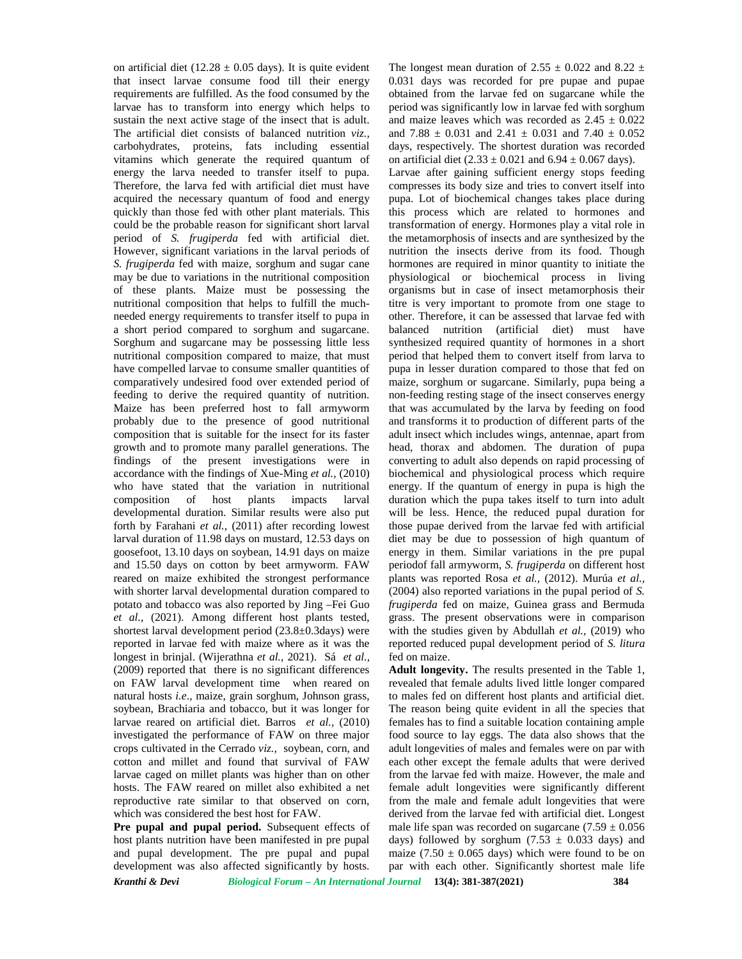on artificial diet (12.28  $\pm$  0.05 days). It is quite evident that insect larvae consume food till their energy requirements are fulfilled. As the food consumed by the larvae has to transform into energy which helps to sustain the next active stage of the insect that is adult. The artificial diet consists of balanced nutrition *viz.,* carbohydrates, proteins, fats including essential vitamins which generate the required quantum of energy the larva needed to transfer itself to pupa. Therefore, the larva fed with artificial diet must have acquired the necessary quantum of food and energy quickly than those fed with other plant materials. This could be the probable reason for significant short larval period of *S. frugiperda* fed with artificial diet. However, significant variations in the larval periods of *S. frugiperda* fed with maize, sorghum and sugar cane may be due to variations in the nutritional composition of these plants. Maize must be possessing the nutritional composition that helps to fulfill the much needed energy requirements to transfer itself to pupa in a short period compared to sorghum and sugarcane. Sorghum and sugarcane may be possessing little less nutritional composition compared to maize, that must have compelled larvae to consume smaller quantities of comparatively undesired food over extended period of feeding to derive the required quantity of nutrition. Maize has been preferred host to fall armyworm probably due to the presence of good nutritional composition that is suitable for the insect for its faster growth and to promote many parallel generations. The findings of the present investigations were in accordance with the findings of Xue-Ming *et al.,* (2010) who have stated that the variation in nutritional composition of host plants impacts larval developmental duration. Similar results were also put forth by Farahani *et al.,* (2011) after recording lowest larval duration of 11.98 days on mustard, 12.53 days on goosefoot, 13.10 days on soybean, 14.91 days on maize and 15.50 days on cotton by beet armyworm. FAW reared on maize exhibited the strongest performance with shorter larval developmental duration compared to potato and tobacco was also reported by Jing –Fei Guo *et al.*, (2021). Among different host plants tested, shortest larval development period (23.8±0.3days) were reported in larvae fed with maize where as it was the longest in brinjal. (Wijerathna *et al.*, 2021). Sá *et al.,* (2009) reported that there is no significant differences on FAW larval development time when reared on natural hosts *i.e*., maize, grain sorghum, Johnson grass, soybean, Brachiaria and tobacco, but it was longer for larvae reared on artificial diet. Barros *et al.,* (2010) investigated the performance of FAW on three major crops cultivated in the Cerrado *viz.,* soybean, corn, and cotton and millet and found that survival of FAW larvae caged on millet plants was higher than on other hosts. The FAW reared on millet also exhibited a net reproductive rate similar to that observed on corn, which was considered the best host for FAW.

**Pre pupal and pupal period.** Subsequent effects of host plants nutrition have been manifested in pre pupal and pupal development. The pre pupal and pupal development was also affected significantly by hosts. The longest mean duration of 2.55  $\pm$  0.022 and 8.22  $\pm$ 0.031 days was recorded for pre pupae and pupae obtained from the larvae fed on sugarcane while the period was significantly low in larvae fed with sorghum and maize leaves which was recorded as  $2.45 \pm 0.022$ and 7.88  $\pm$  0.031 and 2.41  $\pm$  0.031 and 7.40  $\pm$  0.052 days, respectively. The shortest duration was recorded

on artificial diet  $(2.33 \pm 0.021$  and  $6.94 \pm 0.067$  days). Larvae after gaining sufficient energy stops feeding compresses its body size and tries to convert itself into pupa. Lot of biochemical changes takes place during this process which are related to hormones and transformation of energy. Hormones play a vital role in the metamorphosis of insects and are synthesized by the nutrition the insects derive from its food. Though hormones are required in minor quantity to initiate the physiological or biochemical process in living organisms but in case of insect metamorphosis their titre is very important to promote from one stage to other. Therefore, it can be assessed that larvae fed with balanced nutrition (artificial diet) must have synthesized required quantity of hormones in a short period that helped them to convert itself from larva to pupa in lesser duration compared to those that fed on maize, sorghum or sugarcane. Similarly, pupa being a non-feeding resting stage of the insect conserves energy that was accumulated by the larva by feeding on food and transforms it to production of different parts of the adult insect which includes wings, antennae, apart from head, thorax and abdomen. The duration of pupa converting to adult also depends on rapid processing of biochemical and physiological process which require energy. If the quantum of energy in pupa is high the duration which the pupa takes itself to turn into adult will be less. Hence, the reduced pupal duration for those pupae derived from the larvae fed with artificial diet may be due to possession of high quantum of energy in them. Similar variations in the pre pupal periodof fall armyworm, *S. frugiperda* on different host plants was reported Rosa *et al.,* (2012). Murúa *et al.,* (2004) also reported variations in the pupal period of *S. frugiperda* fed on maize, Guinea grass and Bermuda grass. The present observations were in comparison with the studies given by Abdullah *et al.,* (2019) who reported reduced pupal development period of *S. litura* fed on maize.

*Kranthi & Devi Biological Forum – An International Journal* **13(4): 381-387(2021) 384 Adult longevity.** The results presented in the Table 1, revealed that female adults lived little longer compared to males fed on different host plants and artificial diet. The reason being quite evident in all the species that females has to find a suitable location containing ample food source to lay eggs. The data also shows that the adult longevities of males and females were on par with each other except the female adults that were derived from the larvae fed with maize. However, the male and female adult longevities were significantly different from the male and female adult longevities that were derived from the larvae fed with artificial diet. Longest male life span was recorded on sugarcane  $(7.59 \pm 0.056$ days) followed by sorghum (7.53  $\pm$  0.033 days) and maize (7.50  $\pm$  0.065 days) which were found to be on par with each other. Significantly shortest male life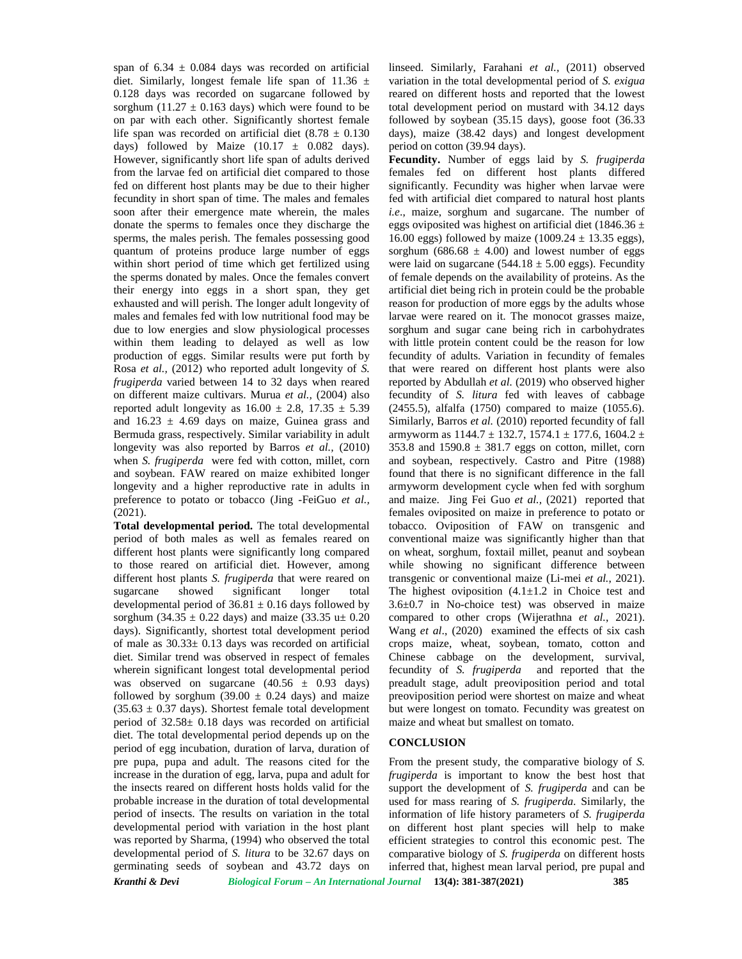span of  $6.34 \pm 0.084$  days was recorded on artificial diet. Similarly, longest female life span of 11.36  $\pm$ 0.128 days was recorded on sugarcane followed by sorghum (11.27  $\pm$  0.163 days) which were found to be on par with each other. Significantly shortest female life span was recorded on artificial diet  $(8.78 \pm 0.130)$ days) followed by Maize  $(10.17 \pm 0.082 \text{ days})$ . However, significantly short life span of adults derived from the larvae fed on artificial diet compared to those fed on different host plants may be due to their higher fecundity in short span of time. The males and females soon after their emergence mate wherein, the males donate the sperms to females once they discharge the sperms, the males perish. The females possessing good quantum of proteins produce large number of eggs within short period of time which get fertilized using the sperms donated by males. Once the females convert their energy into eggs in a short span, they get exhausted and will perish. The longer adult longevity of males and females fed with low nutritional food may be due to low energies and slow physiological processes within them leading to delayed as well as low production of eggs. Similar results were put forth by Rosa *et al.,* (2012) who reported adult longevity of *S. frugiperda* varied between 14 to 32 days when reared on different maize cultivars. Murua *et al.,* (2004) also reported adult longevity as  $16.00 \pm 2.8$ ,  $17.35 \pm 5.39$ and  $16.23 \pm 4.69$  days on maize, Guinea grass and Bermuda grass, respectively. Similar variability in adult longevity was also reported by Barros *et al.,* (2010) when *S. frugiperda* were fed with cotton, millet, corn and soybean. FAW reared on maize exhibited longer longevity and a higher reproductive rate in adults in preference to potato or tobacco (Jing -FeiGuo *et al.,* (2021).

*Kranthi & Devi Biological Forum – An International Journal* **13(4): 381-387(2021) 385 Total developmental period.** The total developmental period of both males as well as females reared on different host plants were significantly long compared to those reared on artificial diet. However, among different host plants *S. frugiperda* that were reared on sugarcane showed significant longer total developmental period of  $36.81 \pm 0.16$  days followed by sorghum (34.35  $\pm$  0.22 days) and maize (33.35 u $\pm$  0.20 days). Significantly, shortest total development period of male as  $30.33 \pm 0.13$  days was recorded on artificial diet. Similar trend was observed in respect of females wherein significant longest total developmental period was observed on sugarcane  $(40.56 \pm 0.93 \text{ days})$ followed by sorghum  $(39.00 \pm 0.24$  days) and maize  $(35.63 \pm 0.37 \text{ days})$ . Shortest female total development period of  $32.58 \pm 0.18$  days was recorded on artificial diet. The total developmental period depends up on the period of egg incubation, duration of larva, duration of pre pupa, pupa and adult. The reasons cited for the increase in the duration of egg, larva, pupa and adult for the insects reared on different hosts holds valid for the probable increase in the duration of total developmental period of insects. The results on variation in the total developmental period with variation in the host plant was reported by Sharma, (1994) who observed the total developmental period of *S. litura* to be 32.67 days on germinating seeds of soybean and 43.72 days on

linseed. Similarly, Farahani *et al.,* (2011) observed variation in the total developmental period of *S. exigua* reared on different hosts and reported that the lowest total development period on mustard with 34.12 days followed by soybean (35.15 days), goose foot (36.33 days), maize (38.42 days) and longest development period on cotton (39.94 days).

**Fecundity.** Number of eggs laid by *S. frugiperda* females fed on different host plants differed significantly. Fecundity was higher when larvae were fed with artificial diet compared to natural host plants *i.e*., maize, sorghum and sugarcane. The number of eggs oviposited was highest on artificial diet (1846.36  $\pm$ 16.00 eggs) followed by maize (1009.24  $\pm$  13.35 eggs), sorghum (686.68  $\pm$  4.00) and lowest number of eggs were laid on sugarcane ( $544.18 \pm 5.00$  eggs). Fecundity of female depends on the availability of proteins. As the artificial diet being rich in protein could be the probable reason for production of more eggs by the adults whose larvae were reared on it. The monocot grasses maize, sorghum and sugar cane being rich in carbohydrates with little protein content could be the reason for low fecundity of adults. Variation in fecundity of females that were reared on different host plants were also reported by Abdullah *et al.* (2019) who observed higher fecundity of *S. litura* fed with leaves of cabbage (2455.5), alfalfa (1750) compared to maize (1055.6). Similarly, Barros *et al.* (2010) reported fecundity of fall armyworm as  $1144.7 \pm 132.7$ ,  $1574.1 \pm 177.6$ ,  $1604.2 \pm$ 353.8 and  $1590.8 \pm 381.7$  eggs on cotton, millet, corn and soybean, respectively. Castro and Pitre (1988) found that there is no significant difference in the fall armyworm development cycle when fed with sorghum and maize. Jing Fei Guo *et al.,* (2021) reported that females oviposited on maize in preference to potato or tobacco. Oviposition of FAW on transgenic and conventional maize was significantly higher than that on wheat, sorghum, foxtail millet, peanut and soybean while showing no significant difference between transgenic or conventional maize (Li-mei *et al.*, 2021). The highest oviposition  $(4.1 \pm 1.2)$  in Choice test and 3.6±0.7 in No-choice test) was observed in maize compared to other crops (Wijerathna *et al.*, 2021). Wang *et al*., (2020) examined the effects of six cash crops maize, wheat, soybean, tomato, cotton and Chinese cabbage on the development, survival, fecundity of *S. frugiperda* and reported that the preadult stage, adult preoviposition period and total preoviposition period were shortest on maize and wheat but were longest on tomato. Fecundity was greatest on maize and wheat but smallest on tomato.

### **CONCLUSION**

From the present study, the comparative biology of *S. frugiperda* is important to know the best host that support the development of *S. frugiperda* and can be used for mass rearing of *S. frugiperda*. Similarly, the information of life history parameters of *S. frugiperda* on different host plant species will help to make efficient strategies to control this economic pest. The comparative biology of *S. frugiperda* on different hosts inferred that, highest mean larval period, pre pupal and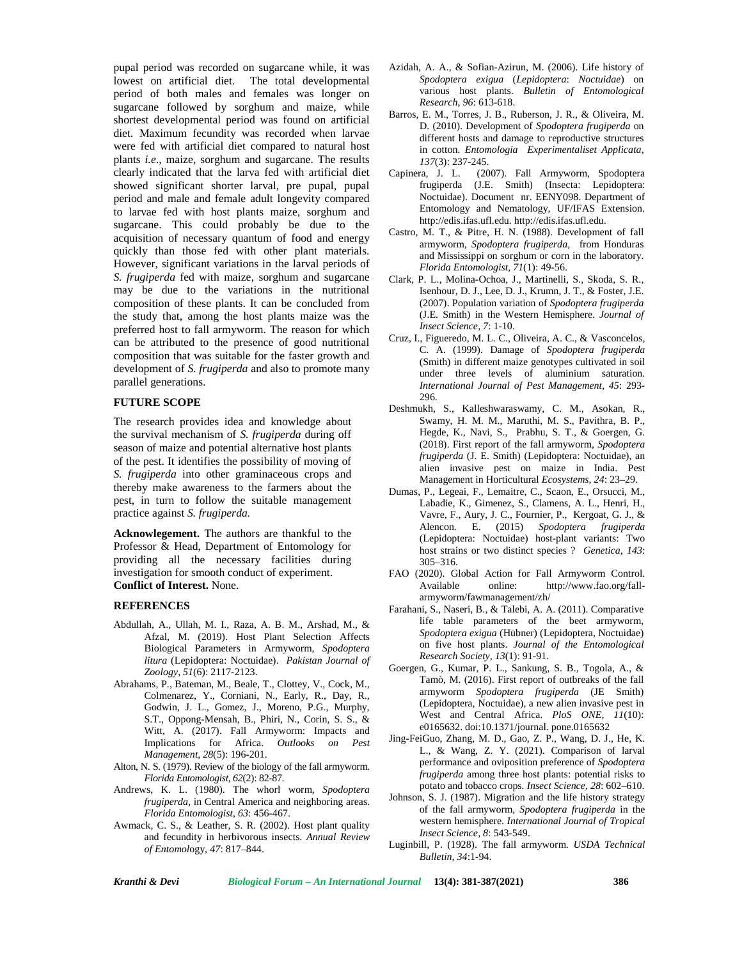pupal period was recorded on sugarcane while, it was lowest on artificial diet. The total developmental period of both males and females was longer on sugarcane followed by sorghum and maize, while shortest developmental period was found on artificial diet. Maximum fecundity was recorded when larvae were fed with artificial diet compared to natural host plants *i.e*., maize, sorghum and sugarcane. The results clearly indicated that the larva fed with artificial diet showed significant shorter larval, pre pupal, pupal period and male and female adult longevity compared to larvae fed with host plants maize, sorghum and sugarcane. This could probably be due to the acquisition of necessary quantum of food and energy quickly than those fed with other plant materials. However, significant variations in the larval periods of *S. frugiperda* fed with maize, sorghum and sugarcane may be due to the variations in the nutritional composition of these plants. It can be concluded from the study that, among the host plants maize was the preferred host to fall armyworm. The reason for which can be attributed to the presence of good nutritional composition that was suitable for the faster growth and development of *S. frugiperda* and also to promote many parallel generations.

### **FUTURE SCOPE**

The research provides idea and knowledge about the survival mechanism of *S. frugiperda* during off season of maize and potential alternative host plants of the pest. It identifies the possibility of moving of *S. frugiperda* into other graminaceous crops and thereby make awareness to the farmers about the pest, in turn to follow the suitable management practice against *S. frugiperda.*

**Acknowlegement.** The authors are thankful to the Professor & Head, Department of Entomology for providing all the necessary facilities during investigation for smooth conduct of experiment. **Conflict of Interest.** None.

## **REFERENCES**

- Abdullah, A., Ullah, M. I., Raza, A. B. M., Arshad, M., & Afzal, M. (2019). Host Plant Selection Affects Biological Parameters in Armyworm, *Spodoptera litura* (Lepidoptera: Noctuidae). *Pakistan Journal of Zoology*, *51*(6): 2117-2123.
- Abrahams, P., Bateman, M., Beale, T., Clottey, V., Cock, M., Colmenarez, Y., Corniani, N., Early, R., Day, R., Godwin, J. L., Gomez, J., Moreno, P.G., Murphy, S.T., Oppong-Mensah, B., Phiri, N., Corin, S. S., & Witt, A. (2017). Fall Armyworm: Impacts and Implications for Africa. *Outlooks on Pest Management*, *28*(5): 196-201.
- Alton, N. S. (1979). Review of the biology of the fall armyworm. *Florida Entomologist*, *62*(2): 82-87.
- Andrews, K. L. (1980). The whorl worm, *Spodoptera frugiperda*, in Central America and neighboring areas. *Florida Entomologist*, *63*: 456-467.
- Awmack, C. S., & Leather, S. R. (2002). Host plant quality and fecundity in herbivorous insects. *Annual Review of Entomol*ogy*, 47*: 817–844.
- Azidah, A. A., & Sofian-Azirun, M. (2006). Life history of *Spodoptera exigua* (*Lepidoptera*: *Noctuidae*) on various host plants. *Bulletin of Entomological Research*, *96*: 613-618.
- Barros, E. M., Torres, J. B., Ruberson, J. R., & Oliveira, M. D. (2010). Development of *Spodoptera frugiperda* on different hosts and damage to reproductive structures in cotton. *Entomologia Experimentaliset Applicata*, *137*(3): 237-245.
- (2007). Fall Armyworm, Spodoptera frugiperda (J.E. Smith) (Insecta: Lepidoptera: Noctuidae). Document nr. EENY098. Department of Entomology and Nematology, UF/IFAS Extension. <http://edis.ifas.ufl.edu>. <http://edis.ifas.ufl.edu>.
- Castro, M. T., & Pitre, H. N. (1988). Development of fall armyworm, *Spodoptera frugiperda,* from Honduras and Mississippi on sorghum or corn in the laboratory. *Florida Entomologist, 71*(1): 49-56.
- Clark, P. L., Molina-Ochoa, J., Martinelli, S., Skoda, S. R., Isenhour, D. J., Lee, D. J., Krumn, J. T., & Foster, J.E. (2007). Population variation of *Spodoptera frugiperda* (J.E. Smith) in the Western Hemisphere. *Journal of Insect Science*, *7*: 1-10.
- Cruz, I., Figueredo, M. L. C., Oliveira, A. C., & Vasconcelos, C. A. (1999). Damage of *Spodoptera frugiperda* (Smith) in different maize genotypes cultivated in soil under three levels of aluminium saturation. *International Journal of Pest Management*, *45*: 293- 296.
- Deshmukh, S., Kalleshwaraswamy, C. M., Asokan, R., Swamy, H. M. M., Maruthi, M. S., Pavithra, B. P., Hegde, K., Navi, S., Prabhu, S. T., & Goergen, G. (2018). First report of the fall armyworm, *Spodoptera frugiperda* (J. E. Smith) (Lepidoptera: Noctuidae), an alien invasive pest on maize in India. Pest Management in Horticultural *Ecosystems*, *24*: 23–29.
- Dumas, P., Legeai, F., Lemaitre, C., Scaon, E., Orsucci, M., Labadie, K., Gimenez, S., Clamens, A. L., Henri, H., Vavre, F., Aury, J. C., Fournier, P., Kergoat, G. J., & Alencon. E. (2015) *Spodoptera frugiperda* (Lepidoptera: Noctuidae) host-plant variants: Two host strains or two distinct species ? *Genetica*, *143*: 305–316.
- FAO (2020). Global Action for Fall Armyworm Control. Available online: http://www.fao.org/fall armyworm/fawmanagement/zh/
- Farahani, S., Naseri, B., & Talebi, A. A. (2011). Comparative life table parameters of the beet armyworm, *Spodoptera exigua* (Hübner) (Lepidoptera, Noctuidae) on five host plants. *Journal of the Entomological Research Society*, *13*(1): 91-91.
- Goergen, G., Kumar, P. L., Sankung, S. B., Togola, A., & Tamò, M. (2016). First report of outbreaks of the fall armyworm *Spodoptera frugiperda* (JE Smith) (Lepidoptera, Noctuidae), a new alien invasive pest in West and Central Africa. *PloS ONE, 11*(10): e0165632. doi:10.1371/journal. pone.0165632
- Jing-FeiGuo, Zhang, M. D., Gao, Z. P., Wang, D. J., He, K. L., & Wang, Z. Y. (2021). Comparison of larval performance and oviposition preference of *Spodoptera frugiperda* among three host plants: potential risks to potato and tobacco crops. *Insect Science, 28*: 602–610.
- Johnson, S. J. (1987). Migration and the life history strategy of the fall armyworm, *Spodoptera frugiperda* in the western hemisphere. *International Journal of Tropical Insect Science, 8*: 543-549.
- Luginbill, P. (1928). The fall armyworm. *USDA Technical Bulletin, 34*:1-94.